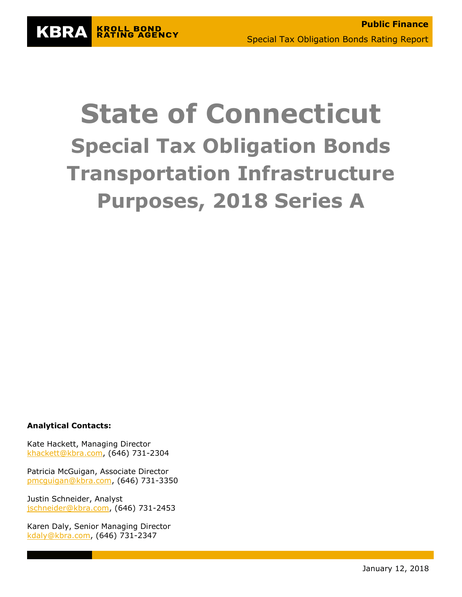# **State of Connecticut Special Tax Obligation Bonds Transportation Infrastructure Purposes, 2018 Series A**

**Analytical Contacts:**

**KBRA** 

**KROLL BOND<br>RATING AGENCY** 

Kate Hackett, Managing Director [khackett@kbra.com,](mailto:khackett@kbra.com) (646) 731-2304

Patricia McGuigan, Associate Director [pmcguigan@kbra.com,](mailto:pmcguigan@kbra.com) (646) 731-3350

Justin Schneider, Analyst [jschneider@kbra.com,](mailto:jschneider@kbra.com) (646) 731-2453

Karen Daly, Senior Managing Director [kdaly@kbra.com,](mailto:kdaly@kbra.com) (646) 731-2347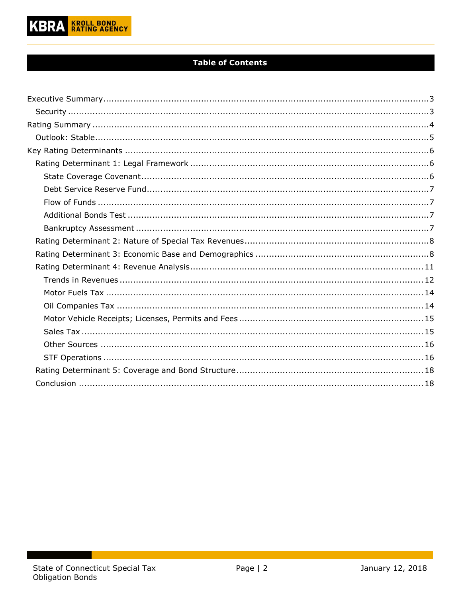

## **Table of Contents**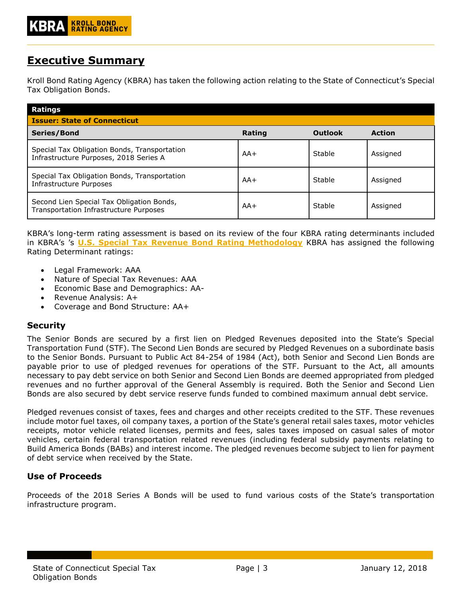# <span id="page-2-0"></span>**Executive Summary**

Kroll Bond Rating Agency (KBRA) has taken the following action relating to the State of Connecticut's Special Tax Obligation Bonds.

| Ratings<br><b>Issuer: State of Connecticut</b>                                         |        |                |               |  |  |  |
|----------------------------------------------------------------------------------------|--------|----------------|---------------|--|--|--|
| Series/Bond                                                                            | Rating | <b>Outlook</b> | <b>Action</b> |  |  |  |
| Special Tax Obligation Bonds, Transportation<br>Infrastructure Purposes, 2018 Series A | $AA+$  | Stable         | Assigned      |  |  |  |
| Special Tax Obligation Bonds, Transportation<br>Infrastructure Purposes                | $AA+$  | Stable         | Assigned      |  |  |  |
| Second Lien Special Tax Obligation Bonds,<br>Transportation Infrastructure Purposes    | $AA+$  | Stable         | Assigned      |  |  |  |

KBRA's long-term rating assessment is based on its review of the four KBRA rating determinants included in KBRA's 's **[U.S. Special Tax Revenue Bond](http://www.krollbondratings.com/show_report/74) Rating Methodology** KBRA has assigned the following Rating Determinant ratings:

- Legal Framework: AAA
- Nature of Special Tax Revenues: AAA
- Economic Base and Demographics: AA-
- Revenue Analysis: A+
- Coverage and Bond Structure: AA+

## <span id="page-2-1"></span>**Security**

The Senior Bonds are secured by a first lien on Pledged Revenues deposited into the State's Special Transportation Fund (STF). The Second Lien Bonds are secured by Pledged Revenues on a subordinate basis to the Senior Bonds. Pursuant to Public Act 84-254 of 1984 (Act), both Senior and Second Lien Bonds are payable prior to use of pledged revenues for operations of the STF. Pursuant to the Act, all amounts necessary to pay debt service on both Senior and Second Lien Bonds are deemed appropriated from pledged revenues and no further approval of the General Assembly is required. Both the Senior and Second Lien Bonds are also secured by debt service reserve funds funded to combined maximum annual debt service.

Pledged revenues consist of taxes, fees and charges and other receipts credited to the STF. These revenues include motor fuel taxes, oil company taxes, a portion of the State's general retail sales taxes, motor vehicles receipts, motor vehicle related licenses, permits and fees, sales taxes imposed on casual sales of motor vehicles, certain federal transportation related revenues (including federal subsidy payments relating to Build America Bonds (BABs) and interest income. The pledged revenues become subject to lien for payment of debt service when received by the State.

## **Use of Proceeds**

Proceeds of the 2018 Series A Bonds will be used to fund various costs of the State's transportation infrastructure program.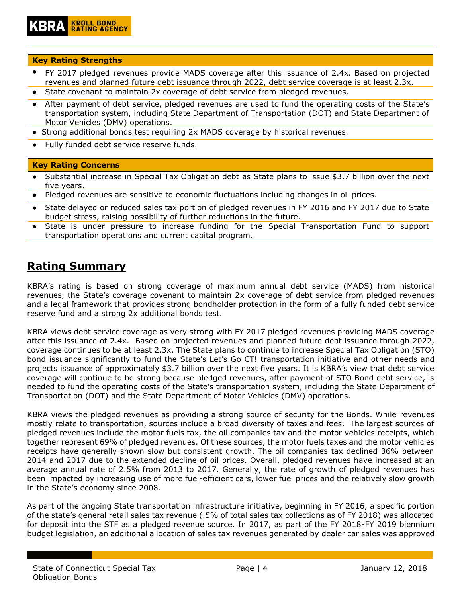## **Key Rating Strengths**

- FY 2017 pledged revenues provide MADS coverage after this issuance of 2.4x. Based on projected revenues and planned future debt issuance through 2022, debt service coverage is at least 2.3x.
- State covenant to maintain 2x coverage of debt service from pledged revenues.
- After payment of debt service, pledged revenues are used to fund the operating costs of the State's transportation system, including State Department of Transportation (DOT) and State Department of Motor Vehicles (DMV) operations.
- Strong additional bonds test requiring 2x MADS coverage by historical revenues.
- Fully funded debt service reserve funds.

## **Key Rating Concerns**

- Substantial increase in Special Tax Obligation debt as State plans to issue \$3.7 billion over the next five years.
- Pledged revenues are sensitive to economic fluctuations including changes in oil prices.
- State delayed or reduced sales tax portion of pledged revenues in FY 2016 and FY 2017 due to State budget stress, raising possibility of further reductions in the future.
- State is under pressure to increase funding for the Special Transportation Fund to support transportation operations and current capital program.

# <span id="page-3-0"></span>**Rating Summary**

KBRA's rating is based on strong coverage of maximum annual debt service (MADS) from historical revenues, the State's coverage covenant to maintain 2x coverage of debt service from pledged revenues and a legal framework that provides strong bondholder protection in the form of a fully funded debt service reserve fund and a strong 2x additional bonds test.

KBRA views debt service coverage as very strong with FY 2017 pledged revenues providing MADS coverage after this issuance of 2.4x. Based on projected revenues and planned future debt issuance through 2022, coverage continues to be at least 2.3x. The State plans to continue to increase Special Tax Obligation (STO) bond issuance significantly to fund the State's Let's Go CT! transportation initiative and other needs and projects issuance of approximately \$3.7 billion over the next five years. It is KBRA's view that debt service coverage will continue to be strong because pledged revenues, after payment of STO Bond debt service, is needed to fund the operating costs of the State's transportation system, including the State Department of Transportation (DOT) and the State Department of Motor Vehicles (DMV) operations.

KBRA views the pledged revenues as providing a strong source of security for the Bonds. While revenues mostly relate to transportation, sources include a broad diversity of taxes and fees. The largest sources of pledged revenues include the motor fuels tax, the oil companies tax and the motor vehicles receipts, which together represent 69% of pledged revenues. Of these sources, the motor fuels taxes and the motor vehicles receipts have generally shown slow but consistent growth. The oil companies tax declined 36% between 2014 and 2017 due to the extended decline of oil prices. Overall, pledged revenues have increased at an average annual rate of 2.5% from 2013 to 2017. Generally, the rate of growth of pledged revenues has been impacted by increasing use of more fuel-efficient cars, lower fuel prices and the relatively slow growth in the State's economy since 2008.

As part of the ongoing State transportation infrastructure initiative, beginning in FY 2016, a specific portion of the state's general retail sales tax revenue (.5% of total sales tax collections as of FY 2018) was allocated for deposit into the STF as a pledged revenue source. In 2017, as part of the FY 2018-FY 2019 biennium budget legislation, an additional allocation of sales tax revenues generated by dealer car sales was approved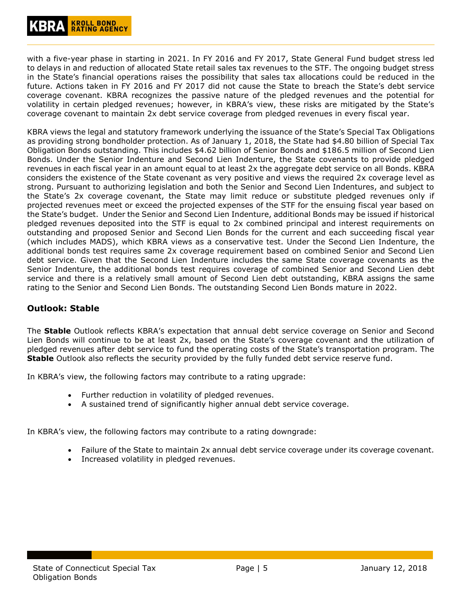with a five-year phase in starting in 2021. In FY 2016 and FY 2017, State General Fund budget stress led to delays in and reduction of allocated State retail sales tax revenues to the STF. The ongoing budget stress in the State's financial operations raises the possibility that sales tax allocations could be reduced in the future. Actions taken in FY 2016 and FY 2017 did not cause the State to breach the State's debt service coverage covenant. KBRA recognizes the passive nature of the pledged revenues and the potential for volatility in certain pledged revenues; however, in KBRA's view, these risks are mitigated by the State's coverage covenant to maintain 2x debt service coverage from pledged revenues in every fiscal year.

KBRA views the legal and statutory framework underlying the issuance of the State's Special Tax Obligations as providing strong bondholder protection. As of January 1, 2018, the State had \$4.80 billion of Special Tax Obligation Bonds outstanding. This includes \$4.62 billion of Senior Bonds and \$186.5 million of Second Lien Bonds. Under the Senior Indenture and Second Lien Indenture, the State covenants to provide pledged revenues in each fiscal year in an amount equal to at least 2x the aggregate debt service on all Bonds. KBRA considers the existence of the State covenant as very positive and views the required 2x coverage level as strong. Pursuant to authorizing legislation and both the Senior and Second Lien Indentures, and subject to the State's 2x coverage covenant, the State may limit reduce or substitute pledged revenues only if projected revenues meet or exceed the projected expenses of the STF for the ensuing fiscal year based on the State's budget. Under the Senior and Second Lien Indenture, additional Bonds may be issued if historical pledged revenues deposited into the STF is equal to 2x combined principal and interest requirements on outstanding and proposed Senior and Second Lien Bonds for the current and each succeeding fiscal year (which includes MADS), which KBRA views as a conservative test. Under the Second Lien Indenture, the additional bonds test requires same 2x coverage requirement based on combined Senior and Second Lien debt service. Given that the Second Lien Indenture includes the same State coverage covenants as the Senior Indenture, the additional bonds test requires coverage of combined Senior and Second Lien debt service and there is a relatively small amount of Second Lien debt outstanding, KBRA assigns the same rating to the Senior and Second Lien Bonds. The outstanding Second Lien Bonds mature in 2022.

## <span id="page-4-0"></span>**Outlook: Stable**

The **Stable** Outlook reflects KBRA's expectation that annual debt service coverage on Senior and Second Lien Bonds will continue to be at least 2x, based on the State's coverage covenant and the utilization of pledged revenues after debt service to fund the operating costs of the State's transportation program. The **Stable** Outlook also reflects the security provided by the fully funded debt service reserve fund.

In KBRA's view, the following factors may contribute to a rating upgrade:

- Further reduction in volatility of pledged revenues.
- A sustained trend of significantly higher annual debt service coverage.

<span id="page-4-1"></span>In KBRA's view, the following factors may contribute to a rating downgrade:

- Failure of the State to maintain 2x annual debt service coverage under its coverage covenant.
- Increased volatility in pledged revenues.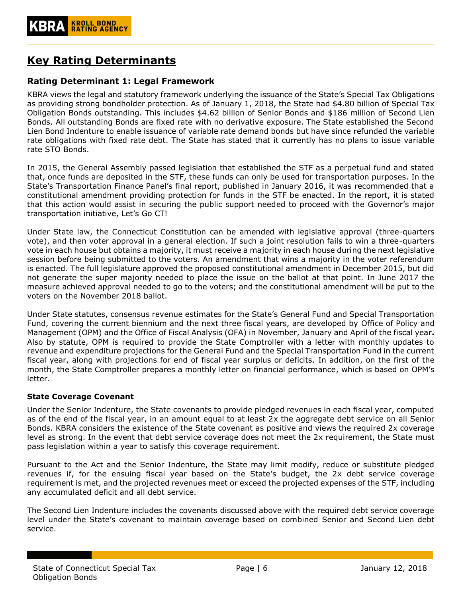# **Key Rating Determinants**

## <span id="page-5-0"></span>**Rating Determinant 1: Legal Framework**

KBRA views the legal and statutory framework underlying the issuance of the State's Special Tax Obligations as providing strong bondholder protection. As of January 1, 2018, the State had \$4.80 billion of Special Tax Obligation Bonds outstanding. This includes \$4.62 billion of Senior Bonds and \$186 million of Second Lien Bonds. All outstanding Bonds are fixed rate with no derivative exposure. The State established the Second Lien Bond Indenture to enable issuance of variable rate demand bonds but have since refunded the variable rate obligations with fixed rate debt. The State has stated that it currently has no plans to issue variable rate STO Bonds.

In 2015, the General Assembly passed legislation that established the STF as a perpetual fund and stated that, once funds are deposited in the STF, these funds can only be used for transportation purposes. In the State's Transportation Finance Panel's final report, published in January 2016, it was recommended that a constitutional amendment providing protection for funds in the STF be enacted. In the report, it is stated that this action would assist in securing the public support needed to proceed with the Governor's major transportation initiative, Let's Go CT!

Under State law, the Connecticut Constitution can be amended with legislative approval (three-quarters vote), and then voter approval in a general election. If such a joint resolution fails to win a three-quarters vote in each house but obtains a majority, it must receive a majority in each house during the next legislative session before being submitted to the voters. An amendment that wins a majority in the voter referendum is enacted. The full legislature approved the proposed constitutional amendment in December 2015, but did not generate the super majority needed to place the issue on the ballot at that point. In June 2017 the measure achieved approval needed to go to the voters; and the constitutional amendment will be put to the voters on the November 2018 ballot.

Under State statutes, consensus revenue estimates for the State's General Fund and Special Transportation Fund, covering the current biennium and the next three fiscal years, are developed by Office of Policy and Management (OPM) and the Office of Fiscal Analysis (OFA) in November, January and April of the fiscal year**.**  Also by statute, OPM is required to provide the State Comptroller with a letter with monthly updates to revenue and expenditure projections for the General Fund and the Special Transportation Fund in the current fiscal year, along with projections for end of fiscal year surplus or deficits. In addition, on the first of the month, the State Comptroller prepares a monthly letter on financial performance, which is based on OPM's letter.

## <span id="page-5-1"></span>**State Coverage Covenant**

Under the Senior Indenture, the State covenants to provide pledged revenues in each fiscal year, computed as of the end of the fiscal year, in an amount equal to at least 2x the aggregate debt service on all Senior Bonds. KBRA considers the existence of the State covenant as positive and views the required 2x coverage level as strong. In the event that debt service coverage does not meet the 2x requirement, the State must pass legislation within a year to satisfy this coverage requirement.

Pursuant to the Act and the Senior Indenture, the State may limit modify, reduce or substitute pledged revenues if, for the ensuing fiscal year based on the State's budget, the 2x debt service coverage requirement is met, and the projected revenues meet or exceed the projected expenses of the STF, including any accumulated deficit and all debt service.

The Second Lien Indenture includes the covenants discussed above with the required debt service coverage level under the State's covenant to maintain coverage based on combined Senior and Second Lien debt service.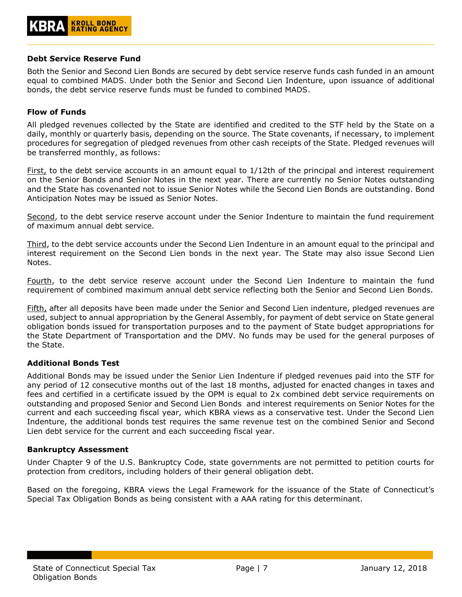#### <span id="page-6-0"></span>**Debt Service Reserve Fund**

Both the Senior and Second Lien Bonds are secured by debt service reserve funds cash funded in an amount equal to combined MADS. Under both the Senior and Second Lien Indenture, upon issuance of additional bonds, the debt service reserve funds must be funded to combined MADS.

#### <span id="page-6-1"></span>**Flow of Funds**

All pledged revenues collected by the State are identified and credited to the STF held by the State on a daily, monthly or quarterly basis, depending on the source. The State covenants, if necessary, to implement procedures for segregation of pledged revenues from other cash receipts of the State. Pledged revenues will be transferred monthly, as follows:

First, to the debt service accounts in an amount equal to 1/12th of the principal and interest requirement on the Senior Bonds and Senior Notes in the next year. There are currently no Senior Notes outstanding and the State has covenanted not to issue Senior Notes while the Second Lien Bonds are outstanding. Bond Anticipation Notes may be issued as Senior Notes.

Second, to the debt service reserve account under the Senior Indenture to maintain the fund requirement of maximum annual debt service.

Third, to the debt service accounts under the Second Lien Indenture in an amount equal to the principal and interest requirement on the Second Lien bonds in the next year. The State may also issue Second Lien Notes.

Fourth, to the debt service reserve account under the Second Lien Indenture to maintain the fund requirement of combined maximum annual debt service reflecting both the Senior and Second Lien Bonds.

Fifth, after all deposits have been made under the Senior and Second Lien indenture, pledged revenues are used, subject to annual appropriation by the General Assembly, for payment of debt service on State general obligation bonds issued for transportation purposes and to the payment of State budget appropriations for the State Department of Transportation and the DMV. No funds may be used for the general purposes of the State.

## <span id="page-6-2"></span>**Additional Bonds Test**

Additional Bonds may be issued under the Senior Lien Indenture if pledged revenues paid into the STF for any period of 12 consecutive months out of the last 18 months, adjusted for enacted changes in taxes and fees and certified in a certificate issued by the OPM is equal to 2x combined debt service requirements on outstanding and proposed Senior and Second Lien Bonds and interest requirements on Senior Notes for the current and each succeeding fiscal year, which KBRA views as a conservative test. Under the Second Lien Indenture, the additional bonds test requires the same revenue test on the combined Senior and Second Lien debt service for the current and each succeeding fiscal year.

#### <span id="page-6-3"></span>**Bankruptcy Assessment**

Under Chapter 9 of the U.S. Bankruptcy Code, state governments are not permitted to petition courts for protection from creditors, including holders of their general obligation debt.

Based on the foregoing, KBRA views the Legal Framework for the issuance of the State of Connecticut's Special Tax Obligation Bonds as being consistent with a AAA rating for this determinant.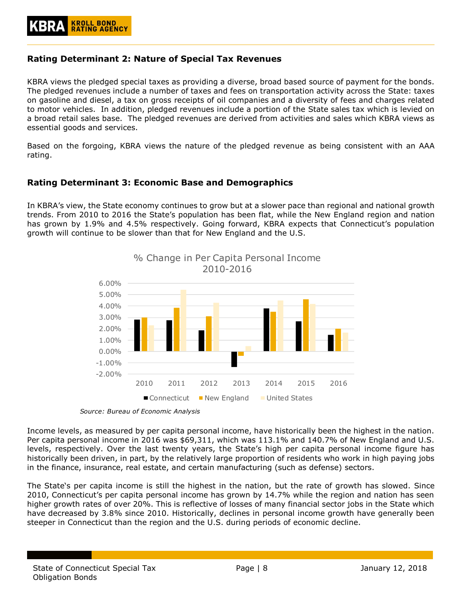## <span id="page-7-0"></span>**Rating Determinant 2: Nature of Special Tax Revenues**

KBRA views the pledged special taxes as providing a diverse, broad based source of payment for the bonds. The pledged revenues include a number of taxes and fees on transportation activity across the State: taxes on gasoline and diesel, a tax on gross receipts of oil companies and a diversity of fees and charges related to motor vehicles. In addition, pledged revenues include a portion of the State sales tax which is levied on a broad retail sales base. The pledged revenues are derived from activities and sales which KBRA views as essential goods and services.

Based on the forgoing, KBRA views the nature of the pledged revenue as being consistent with an AAA rating.

## <span id="page-7-1"></span>**Rating Determinant 3: Economic Base and Demographics**

In KBRA's view, the State economy continues to grow but at a slower pace than regional and national growth trends. From 2010 to 2016 the State's population has been flat, while the New England region and nation has grown by 1.9% and 4.5% respectively. Going forward, KBRA expects that Connecticut's population growth will continue to be slower than that for New England and the U.S.



*Source: Bureau of Economic Analysis*

Income levels, as measured by per capita personal income, have historically been the highest in the nation. Per capita personal income in 2016 was \$69,311, which was 113.1% and 140.7% of New England and U.S. levels, respectively. Over the last twenty years, the State's high per capita personal income figure has historically been driven, in part, by the relatively large proportion of residents who work in high paying jobs in the finance, insurance, real estate, and certain manufacturing (such as defense) sectors.

The State's per capita income is still the highest in the nation, but the rate of growth has slowed. Since 2010, Connecticut's per capita personal income has grown by 14.7% while the region and nation has seen higher growth rates of over 20%. This is reflective of losses of many financial sector jobs in the State which have decreased by 3.8% since 2010. Historically, declines in personal income growth have generally been steeper in Connecticut than the region and the U.S. during periods of economic decline.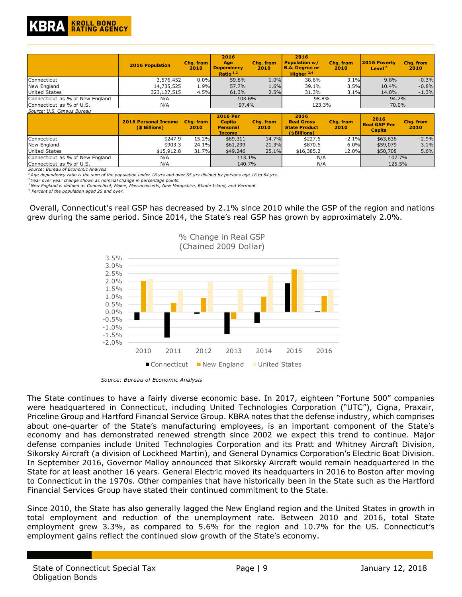

|                                 | <b>2016 Population</b>                       | Chg. from<br>2010 | 2016<br>Age<br><b>Dependency</b><br>Ratio $1,2$                      | Cha. from<br>2010 | 2016<br><b>Population w/</b><br><b>B.A. Degree or</b><br>Higher $2,4$ | Cha. from<br>2010 | 2016 Poverty<br>Level <sup>2</sup>           | Cha. from<br>2010 |
|---------------------------------|----------------------------------------------|-------------------|----------------------------------------------------------------------|-------------------|-----------------------------------------------------------------------|-------------------|----------------------------------------------|-------------------|
| Connecticut                     | 3,576,452                                    | 0.0%              | 59.8%                                                                | 1.0%              | 38.6%                                                                 | 3.1%              | 9.8%                                         | $-0.3%$           |
| New England                     | 14,735,525                                   | 1.9%              | 57.7%                                                                | 1.6%              | 39.1%                                                                 | 3.5%              | 10.4%                                        | $-0.8%$           |
| <b>United States</b>            | 323, 127, 515                                | 4.5%              | 61.3%                                                                | 2.5%              | 31.3%                                                                 | 3.1%              | 14.0%                                        | $-1.3%$           |
| Connecticut as % of New England | N/A                                          |                   | 103.6%                                                               |                   | 98.8%                                                                 |                   | 94.2%                                        |                   |
| Connecticut as % of U.S.        | N/A                                          |                   | 97.4%                                                                |                   | 123.3%                                                                |                   | 70.0%                                        |                   |
| Source: U.S. Census Bureau      |                                              |                   |                                                                      |                   |                                                                       |                   |                                              |                   |
|                                 | <b>2016 Personal Income</b><br>(\$ Billions) | Cha. from<br>2010 | <b>2016 Per</b><br><b>Capita</b><br><b>Personal</b><br><b>Income</b> | Cha. from<br>2010 | 2016<br><b>Real Gross</b><br><b>State Product</b><br>(\$Billions)     | Chg. from<br>2010 | 2016<br><b>Real GSP Per</b><br><b>Capita</b> | Chq. from<br>2010 |
| Connecticut                     | \$247.9                                      | 15.2%             | \$69,311                                                             | 14.7%             | \$227.6                                                               | $-2.1%$           | \$63,636                                     | $-2.9%$           |
| New England                     | \$903.3                                      | 24.1%             | \$61,299                                                             | 21.3%             | \$870.6                                                               | 6.0%              | \$59,079                                     | 3.1%              |
| United States                   | \$15,912.8                                   | 31.7%             | \$49,246                                                             | 25.1%             | \$16,385.2                                                            | 12.0%             | \$50,708                                     | 5.6%              |
| Connecticut as % of New England | N/A                                          |                   | 113.1%                                                               |                   | N/A                                                                   |                   | 107.7%                                       |                   |
| Connecticut as % of U.S.        | N/A                                          |                   | 140.7%                                                               |                   | N/A                                                                   |                   | 125.5%                                       |                   |

*Source: Bureau of Economic Analysis*

*<sup>1</sup>Age dependency ratio is the sum of the population under 18 yrs and over 65 yrs divided by persons age 18 to 64 yrs.*

*<sup>2</sup>Year over year change shown as nominal change in percentage points.*

*<sup>3</sup>New England is defined as Connecticut, Maine, Massachusetts, New Hampshire, Rhode Island, and Vermont* 

*4 Percent of the population aged 25 and over.*

Overall, Connecticut's real GSP has decreased by 2.1% since 2010 while the GSP of the region and nations grew during the same period. Since 2014, the State's real GSP has grown by approximately 2.0%.



*Source: Bureau of Economic Analysis*

The State continues to have a fairly diverse economic base. In 2017, eighteen "Fortune 500" companies were headquartered in Connecticut, including United Technologies Corporation ("UTC"), Cigna, Praxair, Priceline Group and Hartford Financial Service Group. KBRA notes that the defense industry, which comprises about one-quarter of the State's manufacturing employees, is an important component of the State's economy and has demonstrated renewed strength since 2002 we expect this trend to continue. Major defense companies include United Technologies Corporation and its Pratt and Whitney Aircraft Division, Sikorsky Aircraft (a division of Lockheed Martin), and General Dynamics Corporation's Electric Boat Division. In September 2016, Governor Malloy announced that Sikorsky Aircraft would remain headquartered in the State for at least another 16 years. General Electric moved its headquarters in 2016 to Boston after moving to Connecticut in the 1970s. Other companies that have historically been in the State such as the Hartford Financial Services Group have stated their continued commitment to the State.

Since 2010, the State has also generally lagged the New England region and the United States in growth in total employment and reduction of the unemployment rate. Between 2010 and 2016, total State employment grew 3.3%, as compared to 5.6% for the region and 10.7% for the US. Connecticut's employment gains reflect the continued slow growth of the State's economy.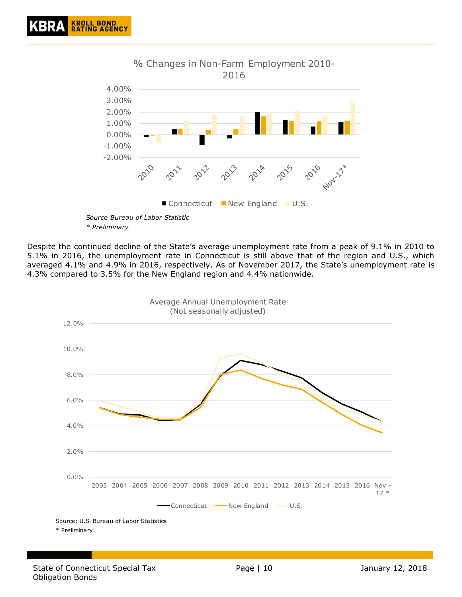

*\* Preliminary* 

Despite the continued decline of the State's average unemployment rate from a peak of 9.1% in 2010 to 5.1% in 2016, the unemployment rate in Connecticut is still above that of the region and U.S., which averaged 4.1% and 4.9% in 2016, respectively. As of November 2017, the State's unemployment rate is 4.3% compared to 3.5% for the New England region and 4.4% nationwide.

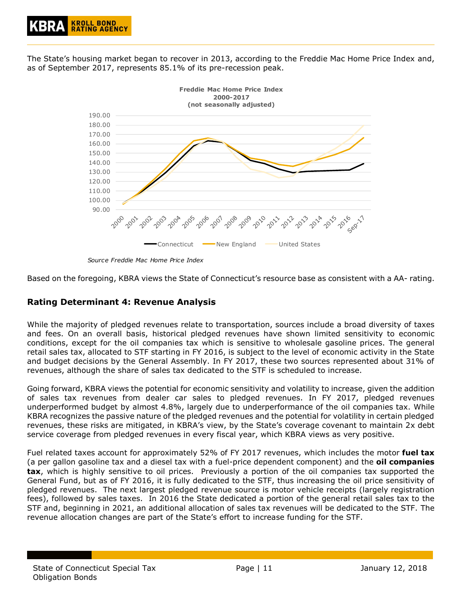The State's housing market began to recover in 2013, according to the Freddie Mac Home Price Index and, as of September 2017, represents 85.1% of its pre-recession peak.



*Source Freddie Mac Home Price Index*

Based on the foregoing, KBRA views the State of Connecticut's resource base as consistent with a AA- rating.

## <span id="page-10-0"></span>**Rating Determinant 4: Revenue Analysis**

While the majority of pledged revenues relate to transportation, sources include a broad diversity of taxes and fees. On an overall basis, historical pledged revenues have shown limited sensitivity to economic conditions, except for the oil companies tax which is sensitive to wholesale gasoline prices. The general retail sales tax, allocated to STF starting in FY 2016, is subject to the level of economic activity in the State and budget decisions by the General Assembly. In FY 2017, these two sources represented about 31% of revenues, although the share of sales tax dedicated to the STF is scheduled to increase.

Going forward, KBRA views the potential for economic sensitivity and volatility to increase, given the addition of sales tax revenues from dealer car sales to pledged revenues. In FY 2017, pledged revenues underperformed budget by almost 4.8%, largely due to underperformance of the oil companies tax. While KBRA recognizes the passive nature of the pledged revenues and the potential for volatility in certain pledged revenues, these risks are mitigated, in KBRA's view, by the State's coverage covenant to maintain 2x debt service coverage from pledged revenues in every fiscal year, which KBRA views as very positive.

Fuel related taxes account for approximately 52% of FY 2017 revenues, which includes the motor **fuel tax** (a per gallon gasoline tax and a diesel tax with a fuel-price dependent component) and the **oil companies tax**, which is highly sensitive to oil prices. Previously a portion of the oil companies tax supported the General Fund, but as of FY 2016, it is fully dedicated to the STF, thus increasing the oil price sensitivity of pledged revenues. The next largest pledged revenue source is motor vehicle receipts (largely registration fees), followed by sales taxes. In 2016 the State dedicated a portion of the general retail sales tax to the STF and, beginning in 2021, an additional allocation of sales tax revenues will be dedicated to the STF. The revenue allocation changes are part of the State's effort to increase funding for the STF.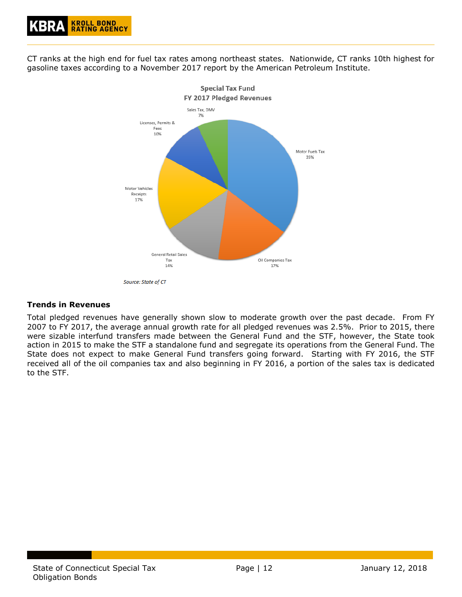

CT ranks at the high end for fuel tax rates among northeast states. Nationwide, CT ranks 10th highest for gasoline taxes according to a November 2017 report by the American Petroleum Institute.



Source: State of CT

## <span id="page-11-0"></span>**Trends in Revenues**

Total pledged revenues have generally shown slow to moderate growth over the past decade. From FY 2007 to FY 2017, the average annual growth rate for all pledged revenues was 2.5%. Prior to 2015, there were sizable interfund transfers made between the General Fund and the STF, however, the State took action in 2015 to make the STF a standalone fund and segregate its operations from the General Fund. The State does not expect to make General Fund transfers going forward. Starting with FY 2016, the STF received all of the oil companies tax and also beginning in FY 2016, a portion of the sales tax is dedicated to the STF.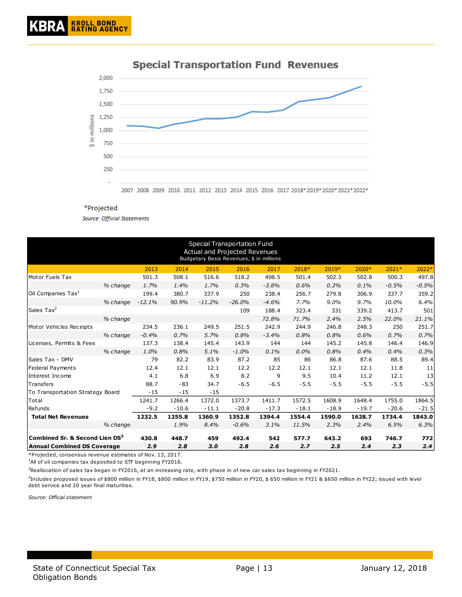

## **Special Transportation Fund Revenues**

#### \*Projected

**Source: Official Statements** 

|                                            |          |          |         |          | Special Transportation Fund<br>Actual and Projected Revenues<br>Budgetary Basis Revenues, \$ in millions |         |         |         |         |         |         |
|--------------------------------------------|----------|----------|---------|----------|----------------------------------------------------------------------------------------------------------|---------|---------|---------|---------|---------|---------|
|                                            |          | 2013     | 2014    | 2015     | 2016                                                                                                     | 2017    | 2018*   | 2019*   | 2020*   | $2021*$ | 2022*   |
| Motor Fuels Tax                            |          | 501.3    | 508.1   | 516.6    | 518.2                                                                                                    | 498.5   | 501.4   | 502.3   | 502.8   | 500.3   | 497.8   |
|                                            | % change | 1.7%     | 1.4%    | 1.7%     | 0.3%                                                                                                     | $-3.8%$ | 0.6%    | 0.2%    | $0.1\%$ | $-0.5%$ | $-0.5%$ |
| Oil Companies Tax $^1$                     |          | 199.4    | 380.7   | 337.9    | 250                                                                                                      | 238.4   | 256.7   | 279.8   | 306.9   | 337.7   | 359.2   |
|                                            | % change | $-12.1%$ | 90.9%   | $-11.2%$ | $-26.0%$                                                                                                 | $-4.6%$ | 7.7%    | $9.0\%$ | 9.7%    | 10.0%   | 6.4%    |
| Sales Tax <sup>2</sup>                     |          |          |         |          | 109                                                                                                      | 188.4   | 323.4   | 331     | 339.2   | 413.7   | 501     |
|                                            | % change |          |         |          |                                                                                                          | 72.8%   | 71.7%   | 2.4%    | 2.5%    | 22.0%   | 21.1%   |
| Motor Vehicles Receipts                    |          | 234.5    | 236.1   | 249.5    | 251.5                                                                                                    | 242.9   | 244.9   | 246.8   | 248.3   | 250     | 251.7   |
|                                            | % change | $-0.4%$  | 0.7%    | 5.7%     | 0.8%                                                                                                     | $-3.4%$ | 0.8%    | 0.8%    | 0.6%    | 0.7%    | 0.7%    |
| Licenses, Permits & Fees                   |          | 137.3    | 138.4   | 145.4    | 143.9                                                                                                    | 144     | 144     | 145.2   | 145.8   | 146.4   | 146.9   |
|                                            | % change | 1.0%     | 0.8%    | 5.1%     | $-1.0%$                                                                                                  | 0.1%    | 0.0%    | 0.8%    | 0.4%    | 0.4%    | 0.3%    |
| Sales Tax - DMV                            |          | 79       | 82.2    | 83.9     | 87.2                                                                                                     | 85      | 86      | 86.8    | 87.6    | 88.5    | 89.4    |
| Federal Payments                           |          | 12.4     | 12.1    | 12.1     | 12.2                                                                                                     | 12.2    | 12.1    | 12.1    | 12.1    | 11.8    | 11      |
| Interest Income                            |          | 4.1      | 6.8     | 6.9      | 8.2                                                                                                      | 9       | 9.5     | 10.4    | 11.2    | 12.1    | 13      |
| Transfers                                  |          | 88.7     | $-83$   | 34.7     | $-6.5$                                                                                                   | $-6.5$  | $-5.5$  | $-5.5$  | $-5.5$  | $-5.5$  | $-5.5$  |
| To Transportation Strategy Board           |          | $-15$    | $-15$   | $-15$    |                                                                                                          |         |         |         |         |         |         |
| Total                                      |          | 1241.7   | 1266.4  | 1372.0   | 1373.7                                                                                                   | 1411.7  | 1572.5  | 1608.9  | 1648.4  | 1755.0  | 1864.5  |
| Refunds                                    |          | $-9.2$   | $-10.6$ | $-11.1$  | $-20.8$                                                                                                  | $-17.3$ | $-18.1$ | $-18.9$ | $-19.7$ | $-20.6$ | $-21.5$ |
| <b>Total Net Revenues</b>                  |          | 1232.5   | 1255.8  | 1360.9   | 1352.8                                                                                                   | 1394.4  | 1554.4  | 1590.0  | 1628.7  | 1734.4  | 1843.0  |
|                                            | % change |          | 1.9%    | 8.4%     | $-0.6%$                                                                                                  | 3.1%    | 11.5%   | 2.3%    | 2.4%    | 6.5%    | 6.3%    |
| Combined Sr. & Second Lien DS <sup>3</sup> |          | 430.8    | 448.7   | 459      | 492.4                                                                                                    | 542     | 577.7   | 643.2   | 693     | 746.7   | 772     |
| <b>Annual Combined DS Coverage</b>         |          | 2.9      | 2.8     | 3.0      | 2.8                                                                                                      | 2.6     | 2.7     | 2.5     | 2.4     | 2.3     | 2.4     |

\*Projected, consensus revenue estimates of Nov. 13, 2017.

 $1$ All of oil companies tax deposited to STF beginning FY2016.

 $2$ Reallocation of sales tax began in FY2016, at an increasing rate, with phase in of new car sales tax beginning in FY2021.

3 Includes proposed issues of \$800 million in FY18, \$800 million in FY19, \$750 million in FY20, \$ 650 million in FY21 & \$650 million in FY22; issued with level debt service and 20 year final maturities.

*Source: Official statement*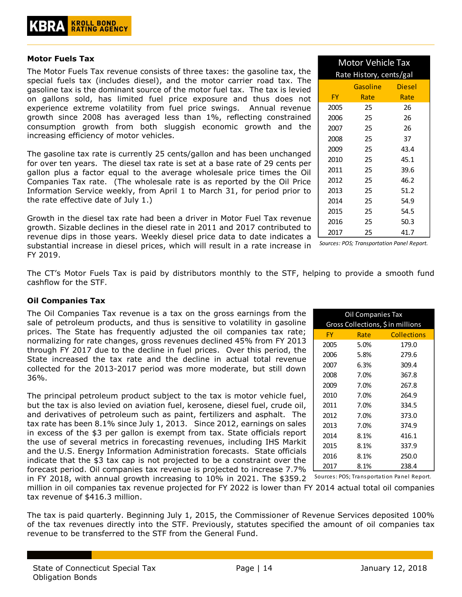#### <span id="page-13-0"></span>**Motor Fuels Tax**

The Motor Fuels Tax revenue consists of three taxes: the gasoline tax, the special fuels tax (includes diesel), and the motor carrier road tax. The gasoline tax is the dominant source of the motor fuel tax. The tax is levied on gallons sold, has limited fuel price exposure and thus does not experience extreme volatility from fuel price swings. Annual revenue growth since 2008 has averaged less than 1%, reflecting constrained consumption growth from both sluggish economic growth and the increasing efficiency of motor vehicles.

The gasoline tax rate is currently 25 cents/gallon and has been unchanged for over ten years. The diesel tax rate is set at a base rate of 29 cents per gallon plus a factor equal to the average wholesale price times the Oil Companies Tax rate. (The wholesale rate is as reported by the Oil Price Information Service weekly, from April 1 to March 31, for period prior to the rate effective date of July 1.)

Growth in the diesel tax rate had been a driver in Motor Fuel Tax revenue growth. Sizable declines in the diesel rate in 2011 and 2017 contributed to revenue dips in those years. Weekly diesel price data to date indicates a substantial increase in diesel prices, which will result in a rate increase in FY 2019.

| <b>Motor Vehicle Tax</b>  |      |      |  |  |  |  |  |
|---------------------------|------|------|--|--|--|--|--|
| Rate History, cents/gal   |      |      |  |  |  |  |  |
| <b>Gasoline</b><br>Diesel |      |      |  |  |  |  |  |
| <b>FY</b>                 | Rate | Rate |  |  |  |  |  |
| 2005                      | 25   | 26   |  |  |  |  |  |
| 2006                      | 25   | 26   |  |  |  |  |  |
| 2007                      | 25   | 26   |  |  |  |  |  |
| 2008                      | 25   | 37   |  |  |  |  |  |
| 2009                      | 25   | 43.4 |  |  |  |  |  |
| 2010                      | 25   | 45.1 |  |  |  |  |  |
| 2011                      | 25   | 39.6 |  |  |  |  |  |
| 2012                      | 25   | 46.2 |  |  |  |  |  |
| 2013                      | 25   | 51.2 |  |  |  |  |  |
| 2014                      | 25   | 54.9 |  |  |  |  |  |
| 2015                      | 25   | 54.5 |  |  |  |  |  |
| 2016                      | 25   | 50.3 |  |  |  |  |  |
| 2017                      | 25   | 41.7 |  |  |  |  |  |

*Sources: POS; Transportation Panel Report.*

The CT's Motor Fuels Tax is paid by distributors monthly to the STF, helping to provide a smooth fund cashflow for the STF.

## <span id="page-13-1"></span>**Oil Companies Tax**

The Oil Companies Tax revenue is a tax on the gross earnings from the sale of petroleum products, and thus is sensitive to volatility in gasoline prices. The State has frequently adjusted the oil companies tax rate; normalizing for rate changes, gross revenues declined 45% from FY 2013 through FY 2017 due to the decline in fuel prices. Over this period, the State increased the tax rate and the decline in actual total revenue collected for the 2013-2017 period was more moderate, but still down 36%.

The principal petroleum product subject to the tax is motor vehicle fuel, but the tax is also levied on aviation fuel, kerosene, diesel fuel, crude oil, and derivatives of petroleum such as paint, fertilizers and asphalt. The tax rate has been 8.1% since July 1, 2013. Since 2012, earnings on sales in excess of the \$3 per gallon is exempt from tax. State officials report the use of several metrics in forecasting revenues, including IHS Markit and the U.S. Energy Information Administration forecasts. State officials indicate that the \$3 tax cap is not projected to be a constraint over the forecast period. Oil companies tax revenue is projected to increase 7.7%

| Oil Companies Tax                 |                  |                    |  |  |  |  |  |
|-----------------------------------|------------------|--------------------|--|--|--|--|--|
| Gross Collections, \$ in millions |                  |                    |  |  |  |  |  |
| FY.                               | Rate <b>Rate</b> | <b>Collections</b> |  |  |  |  |  |
| 2005                              | 5.0%             | 179.0              |  |  |  |  |  |
| 2006                              | 5.8%             | 279.6              |  |  |  |  |  |
| 2007                              | 6.3%             | 309.4              |  |  |  |  |  |
| 2008                              | 7.0%             | 367.8              |  |  |  |  |  |
| 2009                              | 7.0%             | 267.8              |  |  |  |  |  |
| 2010                              | 7.0%             | 264.9              |  |  |  |  |  |
| 2011                              | 7.0%             | 334.5              |  |  |  |  |  |
| 2012                              | 7.0%             | 373.0              |  |  |  |  |  |
| 2013                              | 7.0%             | 374.9              |  |  |  |  |  |
| 2014                              | 8.1%             | 416.1              |  |  |  |  |  |
| 2015                              | 8.1%             | 337.9              |  |  |  |  |  |
| 2016                              | 8.1%             | 250.0              |  |  |  |  |  |
| 2017                              | 8.1%             | 238.4              |  |  |  |  |  |

in FY 2018, with annual growth increasing to 10% in 2021. The \$359.2 Sources: POS; Transportation Panel Report. million in oil companies tax revenue projected for FY 2022 is lower than FY 2014 actual total oil companies tax revenue of \$416.3 million.

The tax is paid quarterly. Beginning July 1, 2015, the Commissioner of Revenue Services deposited 100% of the tax revenues directly into the STF. Previously, statutes specified the amount of oil companies tax revenue to be transferred to the STF from the General Fund.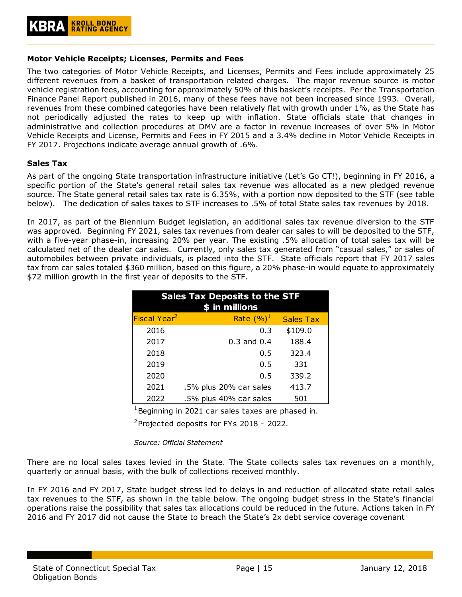## <span id="page-14-0"></span>**Motor Vehicle Receipts; Licenses, Permits and Fees**

The two categories of Motor Vehicle Receipts, and Licenses, Permits and Fees include approximately 25 different revenues from a basket of transportation related charges. The major revenue source is motor vehicle registration fees, accounting for approximately 50% of this basket's receipts. Per the Transportation Finance Panel Report published in 2016, many of these fees have not been increased since 1993. Overall, revenues from these combined categories have been relatively flat with growth under 1%, as the State has not periodically adjusted the rates to keep up with inflation. State officials state that changes in administrative and collection procedures at DMV are a factor in revenue increases of over 5% in Motor Vehicle Receipts and License, Permits and Fees in FY 2015 and a 3.4% decline in Motor Vehicle Receipts in FY 2017. Projections indicate average annual growth of .6%.

#### <span id="page-14-1"></span>**Sales Tax**

As part of the ongoing State transportation infrastructure initiative (Let's Go CT!), beginning in FY 2016, a specific portion of the State's general retail sales tax revenue was allocated as a new pledged revenue source. The State general retail sales tax rate is 6.35%, with a portion now deposited to the STF (see table below). The dedication of sales taxes to STF increases to .5% of total State sales tax revenues by 2018.

In 2017, as part of the Biennium Budget legislation, an additional sales tax revenue diversion to the STF was approved. Beginning FY 2021, sales tax revenues from dealer car sales to will be deposited to the STF, with a five-year phase-in, increasing 20% per year. The existing .5% allocation of total sales tax will be calculated net of the dealer car sales. Currently, only sales tax generated from "casual sales," or sales of automobiles between private individuals, is placed into the STF. State officials report that FY 2017 sales tax from car sales totaled \$360 million, based on this figure, a 20% phase-in would equate to approximately \$72 million growth in the first year of deposits to the STF.

| <b>Sales Tax Deposits to the STF</b> |                        |         |  |  |  |  |  |
|--------------------------------------|------------------------|---------|--|--|--|--|--|
|                                      | \$ in millions         |         |  |  |  |  |  |
| Fiscal Year <sup>2</sup>             | <b>Sales Tax</b>       |         |  |  |  |  |  |
| 2016                                 | 0.3                    | \$109.0 |  |  |  |  |  |
| 2017                                 | $0.3$ and $0.4$        | 188.4   |  |  |  |  |  |
| 2018                                 | 0.5                    | 323.4   |  |  |  |  |  |
| 2019                                 | 0.5                    | 331     |  |  |  |  |  |
| 2020                                 | 0.5                    | 339.2   |  |  |  |  |  |
| 2021                                 | .5% plus 20% car sales | 413.7   |  |  |  |  |  |
| 2022                                 | .5% plus 40% car sales | 501     |  |  |  |  |  |

 $1$ Beginning in 2021 car sales taxes are phased in.

 $^2$ Projected deposits for FYs 2018 - 2022.

*Source: Official Statement*

There are no local sales taxes levied in the State. The State collects sales tax revenues on a monthly, quarterly or annual basis, with the bulk of collections received monthly.

In FY 2016 and FY 2017, State budget stress led to delays in and reduction of allocated state retail sales tax revenues to the STF, as shown in the table below. The ongoing budget stress in the State's financial operations raise the possibility that sales tax allocations could be reduced in the future. Actions taken in FY 2016 and FY 2017 did not cause the State to breach the State's 2x debt service coverage covenant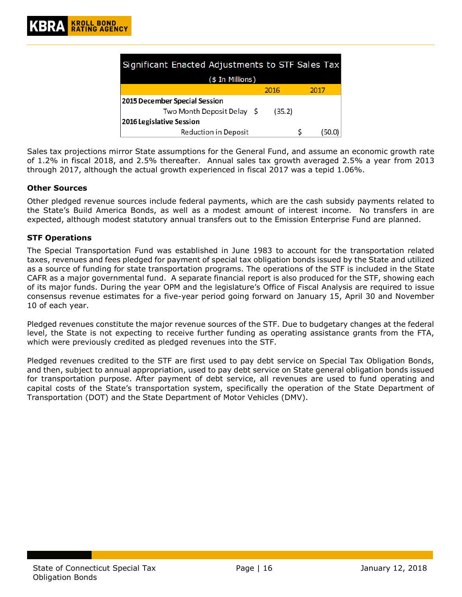| Significant Enacted Adjustments to STF Sales Tax |        |      |  |  |  |  |  |
|--------------------------------------------------|--------|------|--|--|--|--|--|
| (\$ In Millions)                                 |        |      |  |  |  |  |  |
|                                                  | 2016   | 2017 |  |  |  |  |  |
| 2015 December Special Session                    |        |      |  |  |  |  |  |
| Two Month Deposit Delay \$                       | (35.2) |      |  |  |  |  |  |
| 2016 Legislative Session                         |        |      |  |  |  |  |  |
| <b>Reduction in Deposit</b>                      |        |      |  |  |  |  |  |

Sales tax projections mirror State assumptions for the General Fund, and assume an economic growth rate of 1.2% in fiscal 2018, and 2.5% thereafter. Annual sales tax growth averaged 2.5% a year from 2013 through 2017, although the actual growth experienced in fiscal 2017 was a tepid 1.06%.

## <span id="page-15-0"></span>**Other Sources**

Other pledged revenue sources include federal payments, which are the cash subsidy payments related to the State's Build America Bonds, as well as a modest amount of interest income. No transfers in are expected, although modest statutory annual transfers out to the Emission Enterprise Fund are planned.

## <span id="page-15-1"></span>**STF Operations**

The Special Transportation Fund was established in June 1983 to account for the transportation related taxes, revenues and fees pledged for payment of special tax obligation bonds issued by the State and utilized as a source of funding for state transportation programs. The operations of the STF is included in the State CAFR as a major governmental fund. A separate financial report is also produced for the STF, showing each of its major funds. During the year OPM and the legislature's Office of Fiscal Analysis are required to issue consensus revenue estimates for a five-year period going forward on January 15, April 30 and November 10 of each year.

Pledged revenues constitute the major revenue sources of the STF. Due to budgetary changes at the federal level, the State is not expecting to receive further funding as operating assistance grants from the FTA, which were previously credited as pledged revenues into the STF.

Pledged revenues credited to the STF are first used to pay debt service on Special Tax Obligation Bonds, and then, subject to annual appropriation, used to pay debt service on State general obligation bonds issued for transportation purpose. After payment of debt service, all revenues are used to fund operating and capital costs of the State's transportation system, specifically the operation of the State Department of Transportation (DOT) and the State Department of Motor Vehicles (DMV).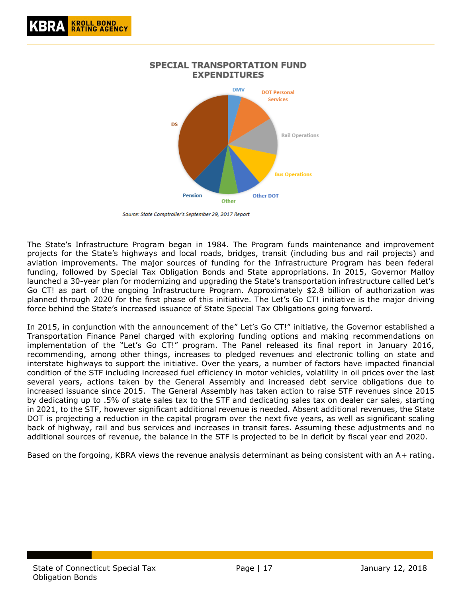

Source: State Comptroller's September 29, 2017 Report

The State's Infrastructure Program began in 1984. The Program funds maintenance and improvement projects for the State's highways and local roads, bridges, transit (including bus and rail projects) and aviation improvements. The major sources of funding for the Infrastructure Program has been federal funding, followed by Special Tax Obligation Bonds and State appropriations. In 2015, Governor Malloy launched a 30-year plan for modernizing and upgrading the State's transportation infrastructure called Let's Go CT! as part of the ongoing Infrastructure Program. Approximately \$2.8 billion of authorization was planned through 2020 for the first phase of this initiative. The Let's Go CT! initiative is the major driving force behind the State's increased issuance of State Special Tax Obligations going forward.

In 2015, in conjunction with the announcement of the" Let's Go CT!" initiative, the Governor established a Transportation Finance Panel charged with exploring funding options and making recommendations on implementation of the "Let's Go CT!" program. The Panel released its final report in January 2016, recommending, among other things, increases to pledged revenues and electronic tolling on state and interstate highways to support the initiative. Over the years, a number of factors have impacted financial condition of the STF including increased fuel efficiency in motor vehicles, volatility in oil prices over the last several years, actions taken by the General Assembly and increased debt service obligations due to increased issuance since 2015. The General Assembly has taken action to raise STF revenues since 2015 by dedicating up to .5% of state sales tax to the STF and dedicating sales tax on dealer car sales, starting in 2021, to the STF, however significant additional revenue is needed. Absent additional revenues, the State DOT is projecting a reduction in the capital program over the next five years, as well as significant scaling back of highway, rail and bus services and increases in transit fares. Assuming these adjustments and no additional sources of revenue, the balance in the STF is projected to be in deficit by fiscal year end 2020.

<span id="page-16-0"></span>Based on the forgoing, KBRA views the revenue analysis determinant as being consistent with an A+ rating.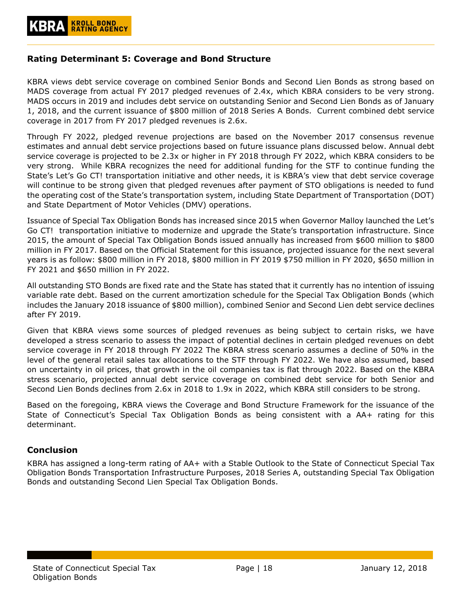## **Rating Determinant 5: Coverage and Bond Structure**

KBRA views debt service coverage on combined Senior Bonds and Second Lien Bonds as strong based on MADS coverage from actual FY 2017 pledged revenues of 2.4x, which KBRA considers to be very strong. MADS occurs in 2019 and includes debt service on outstanding Senior and Second Lien Bonds as of January 1, 2018, and the current issuance of \$800 million of 2018 Series A Bonds. Current combined debt service coverage in 2017 from FY 2017 pledged revenues is 2.6x.

Through FY 2022, pledged revenue projections are based on the November 2017 consensus revenue estimates and annual debt service projections based on future issuance plans discussed below. Annual debt service coverage is projected to be 2.3x or higher in FY 2018 through FY 2022, which KBRA considers to be very strong. While KBRA recognizes the need for additional funding for the STF to continue funding the State's Let's Go CT! transportation initiative and other needs, it is KBRA's view that debt service coverage will continue to be strong given that pledged revenues after payment of STO obligations is needed to fund the operating cost of the State's transportation system, including State Department of Transportation (DOT) and State Department of Motor Vehicles (DMV) operations.

Issuance of Special Tax Obligation Bonds has increased since 2015 when Governor Malloy launched the Let's Go CT! transportation initiative to modernize and upgrade the State's transportation infrastructure. Since 2015, the amount of Special Tax Obligation Bonds issued annually has increased from \$600 million to \$800 million in FY 2017. Based on the Official Statement for this issuance, projected issuance for the next several years is as follow: \$800 million in FY 2018, \$800 million in FY 2019 \$750 million in FY 2020, \$650 million in FY 2021 and \$650 million in FY 2022.

All outstanding STO Bonds are fixed rate and the State has stated that it currently has no intention of issuing variable rate debt. Based on the current amortization schedule for the Special Tax Obligation Bonds (which includes the January 2018 issuance of \$800 million), combined Senior and Second Lien debt service declines after FY 2019.

Given that KBRA views some sources of pledged revenues as being subject to certain risks, we have developed a stress scenario to assess the impact of potential declines in certain pledged revenues on debt service coverage in FY 2018 through FY 2022 The KBRA stress scenario assumes a decline of 50% in the level of the general retail sales tax allocations to the STF through FY 2022. We have also assumed, based on uncertainty in oil prices, that growth in the oil companies tax is flat through 2022. Based on the KBRA stress scenario, projected annual debt service coverage on combined debt service for both Senior and Second Lien Bonds declines from 2.6x in 2018 to 1.9x in 2022, which KBRA still considers to be strong.

Based on the foregoing, KBRA views the Coverage and Bond Structure Framework for the issuance of the State of Connecticut's Special Tax Obligation Bonds as being consistent with a AA+ rating for this determinant.

## <span id="page-17-0"></span>**Conclusion**

KBRA has assigned a long-term rating of AA+ with a Stable Outlook to the State of Connecticut Special Tax Obligation Bonds Transportation Infrastructure Purposes, 2018 Series A, outstanding Special Tax Obligation Bonds and outstanding Second Lien Special Tax Obligation Bonds.